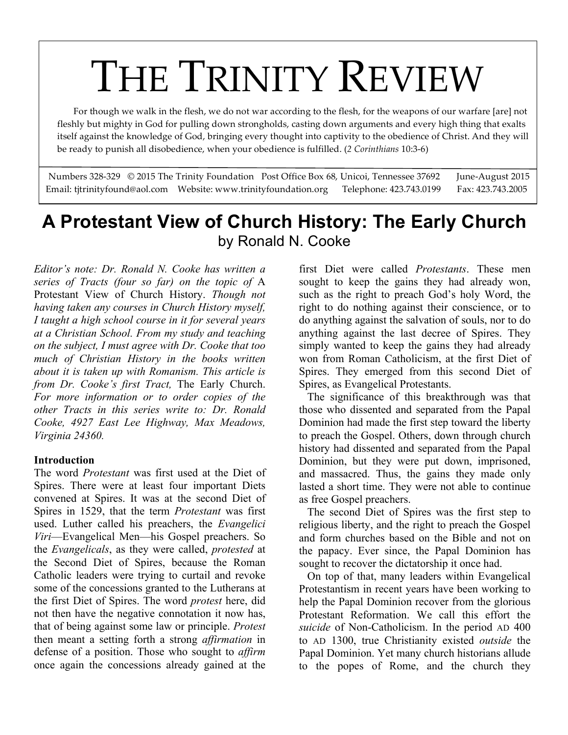# For though we walk in the flesh, we do not war according to the flesh, for the weapons of our warfare [are] not

 fleshly but mighty in God for pulling down strongholds, casting down arguments and every high thing that exalts itself against the knowledge of God, bringing every thought into captivity to the obedience of Christ. And they will be ready to punish all disobedience, when your obedience is fulfilled. (*2 Corinthians* 10:3-6)

Numbers 328-329 © 2015 The Trinity Foundation Post Office Box 68, Unicoi, Tennessee 37692 June-August 2015 Email: tjtrinityfound@aol.com Website: www.trinityfoundation.org Telephone: 423.743.0199 Fax: 423.743.2005

# **A Protestant View of Church History: The Early Church** by Ronald N. Cooke

*Editor's note: Dr. Ronald N. Cooke has written a series of Tracts (four so far) on the topic of* A Protestant View of Church History. *Though not having taken any courses in Church History myself, I taught a high school course in it for several years at a Christian School. From my study and teaching on the subject, I must agree with Dr. Cooke that too much of Christian History in the books written about it is taken up with Romanism. This article is from Dr. Cooke's first Tract,* The Early Church. *For more information or to order copies of the other Tracts in this series write to: Dr. Ronald Cooke, 4927 East Lee Highway, Max Meadows, Virginia 24360.*

### **Introduction**

The word *Protestant* was first used at the Diet of Spires. There were at least four important Diets convened at Spires. It was at the second Diet of Spires in 1529, that the term *Protestant* was first used. Luther called his preachers, the *Evangelici Viri*—Evangelical Men—his Gospel preachers. So the *Evangelicals*, as they were called, *protested* at the Second Diet of Spires, because the Roman Catholic leaders were trying to curtail and revoke some of the concessions granted to the Lutherans at the first Diet of Spires. The word *protest* here, did not then have the negative connotation it now has, that of being against some law or principle. *Protest* then meant a setting forth a strong *affirmation* in defense of a position. Those who sought to *affirm* once again the concessions already gained at the

first Diet were called *Protestants*. These men sought to keep the gains they had already won, such as the right to preach God's holy Word, the right to do nothing against their conscience, or to do anything against the salvation of souls, nor to do anything against the last decree of Spires. They simply wanted to keep the gains they had already won from Roman Catholicism, at the first Diet of Spires. They emerged from this second Diet of Spires, as Evangelical Protestants.

The significance of this breakthrough was that those who dissented and separated from the Papal Dominion had made the first step toward the liberty to preach the Gospel. Others, down through church history had dissented and separated from the Papal Dominion, but they were put down, imprisoned, and massacred. Thus, the gains they made only lasted a short time. They were not able to continue as free Gospel preachers.

The second Diet of Spires was the first step to religious liberty, and the right to preach the Gospel and form churches based on the Bible and not on the papacy. Ever since, the Papal Dominion has sought to recover the dictatorship it once had.

On top of that, many leaders within Evangelical Protestantism in recent years have been working to help the Papal Dominion recover from the glorious Protestant Reformation. We call this effort the *suicide* of Non-Catholicism. In the period AD 400 to AD 1300, true Christianity existed *outside* the Papal Dominion. Yet many church historians allude to the popes of Rome, and the church they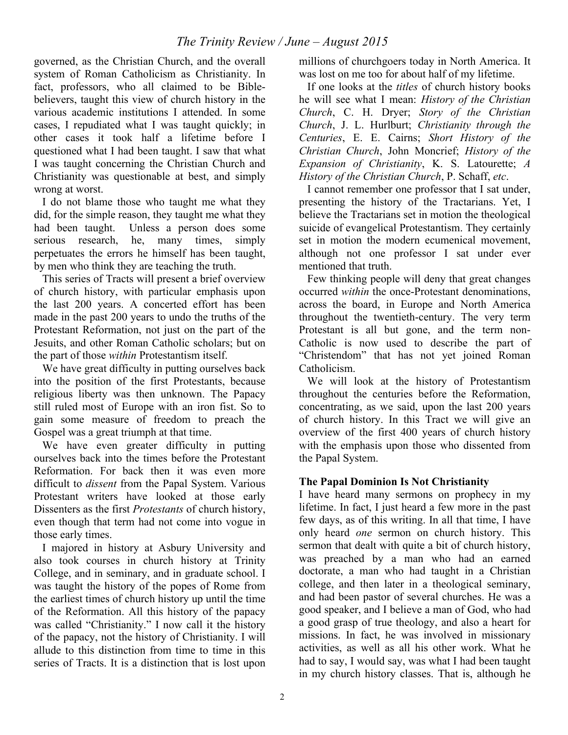governed, as the Christian Church, and the overall system of Roman Catholicism as Christianity. In fact, professors, who all claimed to be Biblebelievers, taught this view of church history in the various academic institutions I attended. In some cases, I repudiated what I was taught quickly; in other cases it took half a lifetime before I questioned what I had been taught. I saw that what I was taught concerning the Christian Church and Christianity was questionable at best, and simply wrong at worst.

I do not blame those who taught me what they did, for the simple reason, they taught me what they had been taught. Unless a person does some serious research, he, many times, simply perpetuates the errors he himself has been taught, by men who think they are teaching the truth.

This series of Tracts will present a brief overview of church history, with particular emphasis upon the last 200 years. A concerted effort has been made in the past 200 years to undo the truths of the Protestant Reformation, not just on the part of the Jesuits, and other Roman Catholic scholars; but on the part of those *within* Protestantism itself.

We have great difficulty in putting ourselves back into the position of the first Protestants, because religious liberty was then unknown. The Papacy still ruled most of Europe with an iron fist. So to gain some measure of freedom to preach the Gospel was a great triumph at that time.

We have even greater difficulty in putting ourselves back into the times before the Protestant Reformation. For back then it was even more difficult to *dissent* from the Papal System. Various Protestant writers have looked at those early Dissenters as the first *Protestants* of church history, even though that term had not come into vogue in those early times.

I majored in history at Asbury University and also took courses in church history at Trinity College, and in seminary, and in graduate school. I was taught the history of the popes of Rome from the earliest times of church history up until the time of the Reformation. All this history of the papacy was called "Christianity." I now call it the history of the papacy, not the history of Christianity. I will allude to this distinction from time to time in this series of Tracts. It is a distinction that is lost upon millions of churchgoers today in North America. It was lost on me too for about half of my lifetime.

If one looks at the *titles* of church history books he will see what I mean: *History of the Christian Church*, C. H. Dryer; *Story of the Christian Church*, J. L. Hurlburt; *Christianity through the Centuries*, E. E. Cairns; *Short History of the Christian Church*, John Moncrief; *History of the Expansion of Christianity*, K. S. Latourette; *A History of the Christian Church*, P. Schaff, *etc*.

I cannot remember one professor that I sat under, presenting the history of the Tractarians. Yet, I believe the Tractarians set in motion the theological suicide of evangelical Protestantism. They certainly set in motion the modern ecumenical movement, although not one professor I sat under ever mentioned that truth.

Few thinking people will deny that great changes occurred *within* the once-Protestant denominations, across the board, in Europe and North America throughout the twentieth-century. The very term Protestant is all but gone, and the term non-Catholic is now used to describe the part of "Christendom" that has not yet joined Roman Catholicism.

We will look at the history of Protestantism throughout the centuries before the Reformation, concentrating, as we said, upon the last 200 years of church history. In this Tract we will give an overview of the first 400 years of church history with the emphasis upon those who dissented from the Papal System.

### **The Papal Dominion Is Not Christianity**

I have heard many sermons on prophecy in my lifetime. In fact, I just heard a few more in the past few days, as of this writing. In all that time, I have only heard *one* sermon on church history. This sermon that dealt with quite a bit of church history, was preached by a man who had an earned doctorate, a man who had taught in a Christian college, and then later in a theological seminary, and had been pastor of several churches. He was a good speaker, and I believe a man of God, who had a good grasp of true theology, and also a heart for missions. In fact, he was involved in missionary activities, as well as all his other work. What he had to say, I would say, was what I had been taught in my church history classes. That is, although he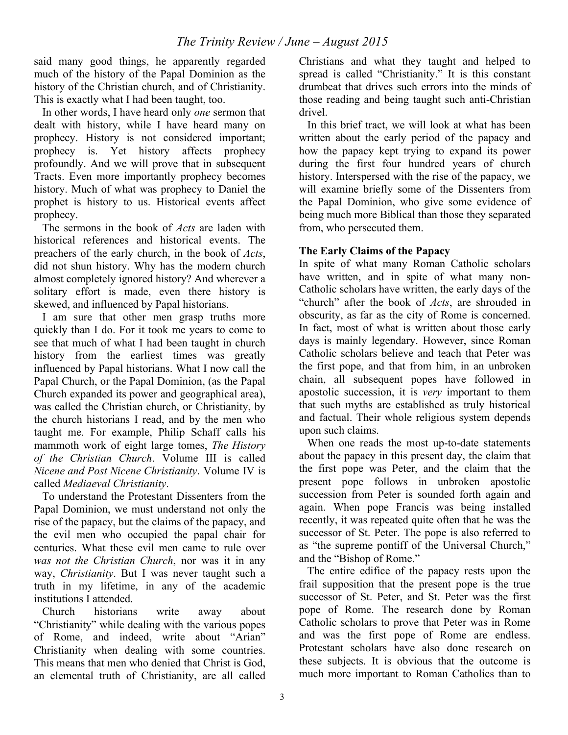said many good things, he apparently regarded much of the history of the Papal Dominion as the history of the Christian church, and of Christianity. This is exactly what I had been taught, too.

In other words, I have heard only *one* sermon that dealt with history, while I have heard many on prophecy. History is not considered important; prophecy is. Yet history affects prophecy profoundly. And we will prove that in subsequent Tracts. Even more importantly prophecy becomes history. Much of what was prophecy to Daniel the prophet is history to us. Historical events affect prophecy.

The sermons in the book of *Acts* are laden with historical references and historical events. The preachers of the early church, in the book of *Acts*, did not shun history. Why has the modern church almost completely ignored history? And wherever a solitary effort is made, even there history is skewed, and influenced by Papal historians.

I am sure that other men grasp truths more quickly than I do. For it took me years to come to see that much of what I had been taught in church history from the earliest times was greatly influenced by Papal historians. What I now call the Papal Church, or the Papal Dominion, (as the Papal Church expanded its power and geographical area), was called the Christian church, or Christianity, by the church historians I read, and by the men who taught me. For example, Philip Schaff calls his mammoth work of eight large tomes, *The History of the Christian Church*. Volume III is called *Nicene and Post Nicene Christianity*. Volume IV is called *Mediaeval Christianity*.

To understand the Protestant Dissenters from the Papal Dominion, we must understand not only the rise of the papacy, but the claims of the papacy, and the evil men who occupied the papal chair for centuries. What these evil men came to rule over *was not the Christian Church*, nor was it in any way, *Christianity*. But I was never taught such a truth in my lifetime, in any of the academic institutions I attended.

Church historians write away about "Christianity" while dealing with the various popes of Rome, and indeed, write about "Arian" Christianity when dealing with some countries. This means that men who denied that Christ is God, an elemental truth of Christianity, are all called

Christians and what they taught and helped to spread is called "Christianity." It is this constant drumbeat that drives such errors into the minds of those reading and being taught such anti-Christian drivel.

In this brief tract, we will look at what has been written about the early period of the papacy and how the papacy kept trying to expand its power during the first four hundred years of church history. Interspersed with the rise of the papacy, we will examine briefly some of the Dissenters from the Papal Dominion, who give some evidence of being much more Biblical than those they separated from, who persecuted them.

# **The Early Claims of the Papacy**

In spite of what many Roman Catholic scholars have written, and in spite of what many non-Catholic scholars have written, the early days of the "church" after the book of *Acts*, are shrouded in obscurity, as far as the city of Rome is concerned. In fact, most of what is written about those early days is mainly legendary. However, since Roman Catholic scholars believe and teach that Peter was the first pope, and that from him, in an unbroken chain, all subsequent popes have followed in apostolic succession, it is *very* important to them that such myths are established as truly historical and factual. Their whole religious system depends upon such claims.

When one reads the most up-to-date statements about the papacy in this present day, the claim that the first pope was Peter, and the claim that the present pope follows in unbroken apostolic succession from Peter is sounded forth again and again. When pope Francis was being installed recently, it was repeated quite often that he was the successor of St. Peter. The pope is also referred to as "the supreme pontiff of the Universal Church," and the "Bishop of Rome."

The entire edifice of the papacy rests upon the frail supposition that the present pope is the true successor of St. Peter, and St. Peter was the first pope of Rome. The research done by Roman Catholic scholars to prove that Peter was in Rome and was the first pope of Rome are endless. Protestant scholars have also done research on these subjects. It is obvious that the outcome is much more important to Roman Catholics than to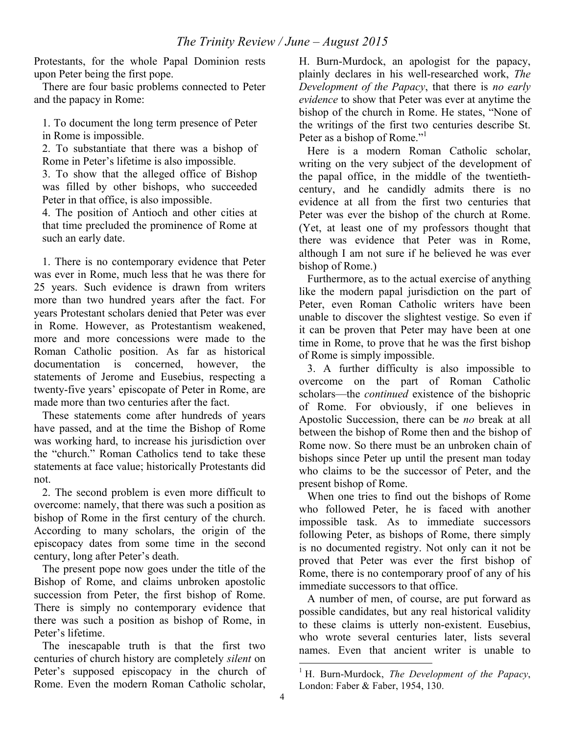Protestants, for the whole Papal Dominion rests upon Peter being the first pope.

There are four basic problems connected to Peter and the papacy in Rome:

1. To document the long term presence of Peter in Rome is impossible.

2. To substantiate that there was a bishop of Rome in Peter's lifetime is also impossible.

3. To show that the alleged office of Bishop was filled by other bishops, who succeeded Peter in that office, is also impossible.

4. The position of Antioch and other cities at that time precluded the prominence of Rome at such an early date.

1. There is no contemporary evidence that Peter was ever in Rome, much less that he was there for 25 years. Such evidence is drawn from writers more than two hundred years after the fact. For years Protestant scholars denied that Peter was ever in Rome. However, as Protestantism weakened, more and more concessions were made to the Roman Catholic position. As far as historical documentation is concerned, however, the statements of Jerome and Eusebius, respecting a twenty-five years' episcopate of Peter in Rome, are made more than two centuries after the fact.

These statements come after hundreds of years have passed, and at the time the Bishop of Rome was working hard, to increase his jurisdiction over the "church." Roman Catholics tend to take these statements at face value; historically Protestants did not.

2. The second problem is even more difficult to overcome: namely, that there was such a position as bishop of Rome in the first century of the church. According to many scholars, the origin of the episcopacy dates from some time in the second century, long after Peter's death.

The present pope now goes under the title of the Bishop of Rome, and claims unbroken apostolic succession from Peter, the first bishop of Rome. There is simply no contemporary evidence that there was such a position as bishop of Rome, in Peter's lifetime.

The inescapable truth is that the first two centuries of church history are completely *silent* on Peter's supposed episcopacy in the church of Rome. Even the modern Roman Catholic scholar,

H. Burn-Murdock, an apologist for the papacy, plainly declares in his well-researched work, *The Development of the Papacy*, that there is *no early evidence* to show that Peter was ever at anytime the bishop of the church in Rome. He states, "None of the writings of the first two centuries describe St. Peter as a bishop of Rome."

Here is a modern Roman Catholic scholar, writing on the very subject of the development of the papal office, in the middle of the twentiethcentury, and he candidly admits there is no evidence at all from the first two centuries that Peter was ever the bishop of the church at Rome. (Yet, at least one of my professors thought that there was evidence that Peter was in Rome, although I am not sure if he believed he was ever bishop of Rome.)

Furthermore, as to the actual exercise of anything like the modern papal jurisdiction on the part of Peter, even Roman Catholic writers have been unable to discover the slightest vestige. So even if it can be proven that Peter may have been at one time in Rome, to prove that he was the first bishop of Rome is simply impossible.

3. A further difficulty is also impossible to overcome on the part of Roman Catholic scholars—the *continued* existence of the bishopric of Rome. For obviously, if one believes in Apostolic Succession, there can be *no* break at all between the bishop of Rome then and the bishop of Rome now. So there must be an unbroken chain of bishops since Peter up until the present man today who claims to be the successor of Peter, and the present bishop of Rome.

When one tries to find out the bishops of Rome who followed Peter, he is faced with another impossible task. As to immediate successors following Peter, as bishops of Rome, there simply is no documented registry. Not only can it not be proved that Peter was ever the first bishop of Rome, there is no contemporary proof of any of his immediate successors to that office.

A number of men, of course, are put forward as possible candidates, but any real historical validity to these claims is utterly non-existent. Eusebius, who wrote several centuries later, lists several names. Even that ancient writer is unable to

 <sup>1</sup> H. Burn-Murdock, *The Development of the Papacy*, London: Faber & Faber, 1954, 130.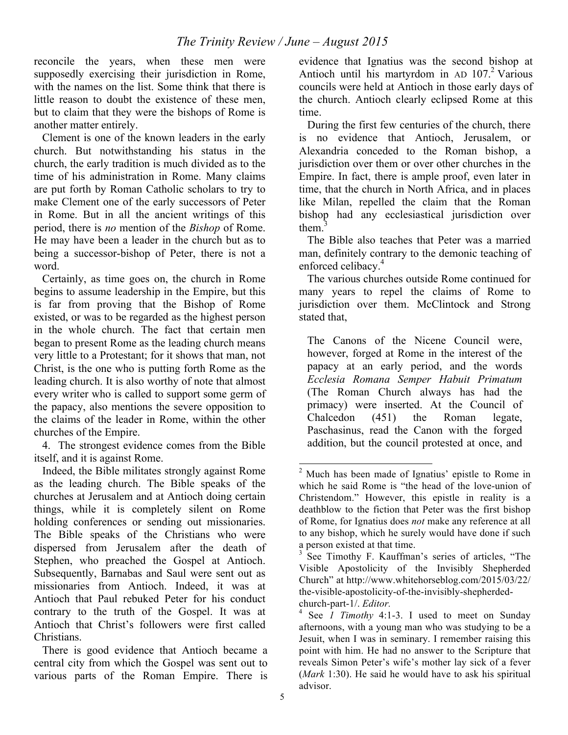reconcile the years, when these men were supposedly exercising their jurisdiction in Rome, with the names on the list. Some think that there is little reason to doubt the existence of these men. but to claim that they were the bishops of Rome is another matter entirely.

Clement is one of the known leaders in the early church. But notwithstanding his status in the church, the early tradition is much divided as to the time of his administration in Rome. Many claims are put forth by Roman Catholic scholars to try to make Clement one of the early successors of Peter in Rome. But in all the ancient writings of this period, there is *no* mention of the *Bishop* of Rome. He may have been a leader in the church but as to being a successor-bishop of Peter, there is not a word.

Certainly, as time goes on, the church in Rome begins to assume leadership in the Empire, but this is far from proving that the Bishop of Rome existed, or was to be regarded as the highest person in the whole church. The fact that certain men began to present Rome as the leading church means very little to a Protestant; for it shows that man, not Christ, is the one who is putting forth Rome as the leading church. It is also worthy of note that almost every writer who is called to support some germ of the papacy, also mentions the severe opposition to the claims of the leader in Rome, within the other churches of the Empire.

4. The strongest evidence comes from the Bible itself, and it is against Rome.

Indeed, the Bible militates strongly against Rome as the leading church. The Bible speaks of the churches at Jerusalem and at Antioch doing certain things, while it is completely silent on Rome holding conferences or sending out missionaries. The Bible speaks of the Christians who were dispersed from Jerusalem after the death of Stephen, who preached the Gospel at Antioch. Subsequently, Barnabas and Saul were sent out as missionaries from Antioch. Indeed, it was at Antioch that Paul rebuked Peter for his conduct contrary to the truth of the Gospel. It was at Antioch that Christ's followers were first called Christians.

There is good evidence that Antioch became a central city from which the Gospel was sent out to various parts of the Roman Empire. There is evidence that Ignatius was the second bishop at Antioch until his martyrdom in AD  $107<sup>2</sup>$  Various councils were held at Antioch in those early days of the church. Antioch clearly eclipsed Rome at this time.

During the first few centuries of the church, there is no evidence that Antioch, Jerusalem, or Alexandria conceded to the Roman bishop, a jurisdiction over them or over other churches in the Empire. In fact, there is ample proof, even later in time, that the church in North Africa, and in places like Milan, repelled the claim that the Roman bishop had any ecclesiastical jurisdiction over them $<sup>3</sup>$ </sup>

The Bible also teaches that Peter was a married man, definitely contrary to the demonic teaching of enforced celibacy.<sup>4</sup>

The various churches outside Rome continued for many years to repel the claims of Rome to jurisdiction over them. McClintock and Strong stated that,

The Canons of the Nicene Council were, however, forged at Rome in the interest of the papacy at an early period, and the words *Ecclesia Romana Semper Habuit Primatum* (The Roman Church always has had the primacy) were inserted. At the Council of Chalcedon (451) the Roman legate, Paschasinus, read the Canon with the forged addition, but the council protested at once, and

 $2$  Much has been made of Ignatius' epistle to Rome in which he said Rome is "the head of the love-union of Christendom." However, this epistle in reality is a deathblow to the fiction that Peter was the first bishop of Rome, for Ignatius does *not* make any reference at all to any bishop, which he surely would have done if such a person existed at that time.

See Timothy F. Kauffman's series of articles, "The Visible Apostolicity of the Invisibly Shepherded Church" at http://www.whitehorseblog.com/2015/03/22/ the-visible-apostolicity-of-the-invisibly-shepherdedchurch-part-1/. *Editor.*

See *I Timothy* 4:1-3. I used to meet on Sunday afternoons, with a young man who was studying to be a Jesuit, when I was in seminary. I remember raising this point with him. He had no answer to the Scripture that reveals Simon Peter's wife's mother lay sick of a fever (*Mark* 1:30). He said he would have to ask his spiritual advisor.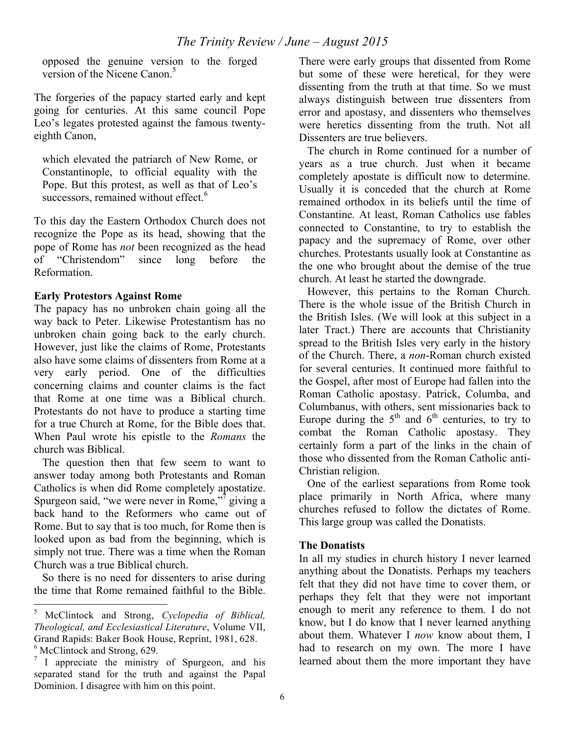opposed the genuine version to the forged version of the Nicene Canon $<sup>5</sup>$ </sup>

The forgeries of the papacy started early and kept going for centuries. At this same council Pope Leo's legates protested against the famous twentyeighth Canon,

which elevated the patriarch of New Rome, or Constantinople, to official equality with the Pope. But this protest, as well as that of Leo's successors, remained without effect.<sup>6</sup>

To this day the Eastern Orthodox Church does not recognize the Pope as its head, showing that the pope of Rome has *not* been recognized as the head of "Christendom" since long before the Reformation.

### **Early Protestors Against Rome**

The papacy has no unbroken chain going all the way back to Peter. Likewise Protestantism has no unbroken chain going back to the early church. However, just like the claims of Rome, Protestants also have some claims of dissenters from Rome at a very early period. One of the difficulties concerning claims and counter claims is the fact that Rome at one time was a Biblical church. Protestants do not have to produce a starting time for a true Church at Rome, for the Bible does that. When Paul wrote his epistle to the *Romans* the church was Biblical.

The question then that few seem to want to answer today among both Protestants and Roman Catholics is when did Rome completely apostatize. Spurgeon said, "we were never in Rome,"<sup>7</sup> giving a back hand to the Reformers who came out of Rome. But to say that is too much, for Rome then is looked upon as bad from the beginning, which is simply not true. There was a time when the Roman Church was a true Biblical church.

So there is no need for dissenters to arise during the time that Rome remained faithful to the Bible. There were early groups that dissented from Rome but some of these were heretical, for they were dissenting from the truth at that time. So we must always distinguish between true dissenters from error and apostasy, and dissenters who themselves were heretics dissenting from the truth. Not all Dissenters are true believers.

The church in Rome continued for a number of years as a true church. Just when it became completely apostate is difficult now to determine. Usually it is conceded that the church at Rome remained orthodox in its beliefs until the time of Constantine. At least, Roman Catholics use fables connected to Constantine, to try to establish the papacy and the supremacy of Rome, over other churches. Protestants usually look at Constantine as the one who brought about the demise of the true church. At least he started the downgrade.

However, this pertains to the Roman Church. There is the whole issue of the British Church in the British Isles. (We will look at this subject in a later Tract.) There are accounts that Christianity spread to the British Isles very early in the history of the Church. There, a *non*-Roman church existed for several centuries. It continued more faithful to the Gospel, after most of Europe had fallen into the Roman Catholic apostasy. Patrick, Columba, and Columbanus, with others, sent missionaries back to Europe during the  $5<sup>th</sup>$  and  $6<sup>th</sup>$  centuries, to try to combat the Roman Catholic apostasy. They certainly form a part of the links in the chain of those who dissented from the Roman Catholic anti-Christian religion.

One of the earliest separations from Rome took place primarily in North Africa, where many churches refused to follow the dictates of Rome. This large group was called the Donatists.

### **The Donatists**

In all my studies in church history I never learned anything about the Donatists. Perhaps my teachers felt that they did not have time to cover them, or perhaps they felt that they were not important enough to merit any reference to them. I do not know, but I do know that I never learned anything about them. Whatever I *now* know about them, I had to research on my own. The more I have learned about them the more important they have

 <sup>5</sup> McClintock and Strong, *Cyclopedia of Biblical, Theological, and Ecclesiastical Literature*, Volume VII, Grand Rapids: Baker Book House, Reprint, 1981, 628.  $<sup>6</sup>$  McClintock and Strong, 629.</sup>

 $\frac{7}{1}$  I appreciate the ministry of Spurgeon, and his separated stand for the truth and against the Papal Dominion. I disagree with him on this point.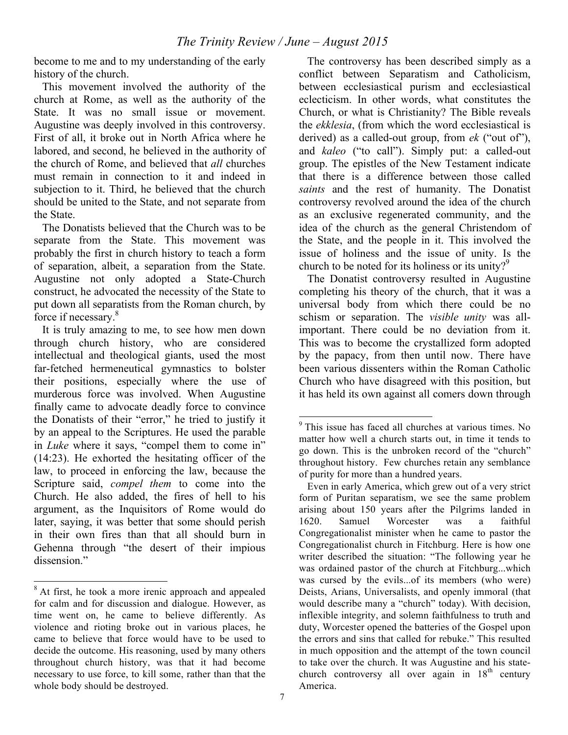become to me and to my understanding of the early history of the church.

This movement involved the authority of the church at Rome, as well as the authority of the State. It was no small issue or movement. Augustine was deeply involved in this controversy. First of all, it broke out in North Africa where he labored, and second, he believed in the authority of the church of Rome, and believed that *all* churches must remain in connection to it and indeed in subjection to it. Third, he believed that the church should be united to the State, and not separate from the State.

The Donatists believed that the Church was to be separate from the State. This movement was probably the first in church history to teach a form of separation, albeit, a separation from the State. Augustine not only adopted a State-Church construct, he advocated the necessity of the State to put down all separatists from the Roman church, by force if necessary.8

It is truly amazing to me, to see how men down through church history, who are considered intellectual and theological giants, used the most far-fetched hermeneutical gymnastics to bolster their positions, especially where the use of murderous force was involved. When Augustine finally came to advocate deadly force to convince the Donatists of their "error," he tried to justify it by an appeal to the Scriptures. He used the parable in *Luke* where it says, "compel them to come in" (14:23). He exhorted the hesitating officer of the law, to proceed in enforcing the law, because the Scripture said, *compel them* to come into the Church. He also added, the fires of hell to his argument, as the Inquisitors of Rome would do later, saying, it was better that some should perish in their own fires than that all should burn in Gehenna through "the desert of their impious dissension."

The controversy has been described simply as a conflict between Separatism and Catholicism, between ecclesiastical purism and ecclesiastical eclecticism. In other words, what constitutes the Church, or what is Christianity? The Bible reveals the *ekklesia*, (from which the word ecclesiastical is derived) as a called-out group, from *ek* ("out of"), and *kaleo* ("to call"). Simply put: a called-out group. The epistles of the New Testament indicate that there is a difference between those called *saints* and the rest of humanity. The Donatist controversy revolved around the idea of the church as an exclusive regenerated community, and the idea of the church as the general Christendom of the State, and the people in it. This involved the issue of holiness and the issue of unity. Is the church to be noted for its holiness or its unity? $9^9$ 

The Donatist controversy resulted in Augustine completing his theory of the church, that it was a universal body from which there could be no schism or separation. The *visible unity* was allimportant. There could be no deviation from it. This was to become the crystallized form adopted by the papacy, from then until now. There have been various dissenters within the Roman Catholic Church who have disagreed with this position, but it has held its own against all comers down through

<sup>&</sup>lt;sup>8</sup> At first, he took a more irenic approach and appealed for calm and for discussion and dialogue. However, as time went on, he came to believe differently. As violence and rioting broke out in various places, he came to believe that force would have to be used to decide the outcome. His reasoning, used by many others throughout church history, was that it had become necessary to use force, to kill some, rather than that the whole body should be destroyed.

<sup>&</sup>lt;sup>9</sup> This issue has faced all churches at various times. No matter how well a church starts out, in time it tends to go down. This is the unbroken record of the "church" throughout history. Few churches retain any semblance of purity for more than a hundred years.

Even in early America, which grew out of a very strict form of Puritan separatism, we see the same problem arising about 150 years after the Pilgrims landed in 1620. Samuel Worcester was a faithful Congregationalist minister when he came to pastor the Congregationalist church in Fitchburg. Here is how one writer described the situation: "The following year he was ordained pastor of the church at Fitchburg...which was cursed by the evils...of its members (who were) Deists, Arians, Universalists, and openly immoral (that would describe many a "church" today). With decision, inflexible integrity, and solemn faithfulness to truth and duty, Worcester opened the batteries of the Gospel upon the errors and sins that called for rebuke." This resulted in much opposition and the attempt of the town council to take over the church. It was Augustine and his statechurch controversy all over again in  $18<sup>th</sup>$  century America.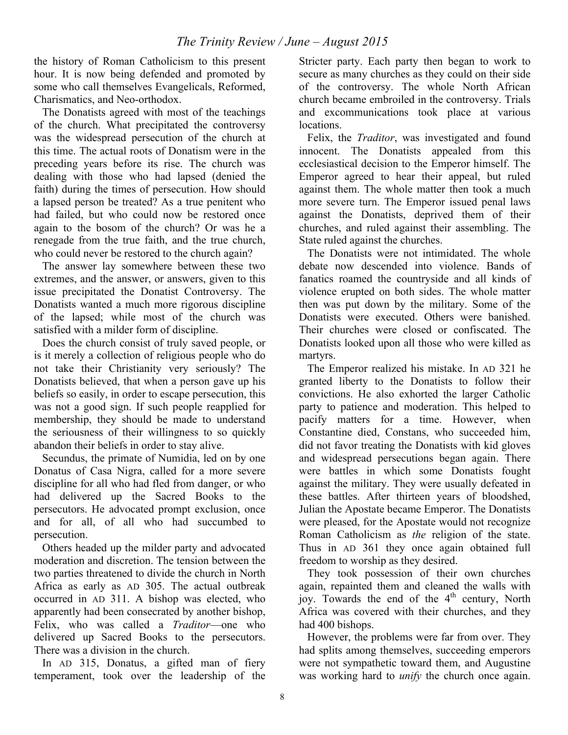the history of Roman Catholicism to this present hour. It is now being defended and promoted by some who call themselves Evangelicals, Reformed, Charismatics, and Neo-orthodox.

The Donatists agreed with most of the teachings of the church. What precipitated the controversy was the widespread persecution of the church at this time. The actual roots of Donatism were in the preceding years before its rise. The church was dealing with those who had lapsed (denied the faith) during the times of persecution. How should a lapsed person be treated? As a true penitent who had failed, but who could now be restored once again to the bosom of the church? Or was he a renegade from the true faith, and the true church, who could never be restored to the church again?

The answer lay somewhere between these two extremes, and the answer, or answers, given to this issue precipitated the Donatist Controversy. The Donatists wanted a much more rigorous discipline of the lapsed; while most of the church was satisfied with a milder form of discipline.

Does the church consist of truly saved people, or is it merely a collection of religious people who do not take their Christianity very seriously? The Donatists believed, that when a person gave up his beliefs so easily, in order to escape persecution, this was not a good sign. If such people reapplied for membership, they should be made to understand the seriousness of their willingness to so quickly abandon their beliefs in order to stay alive.

Secundus, the primate of Numidia, led on by one Donatus of Casa Nigra, called for a more severe discipline for all who had fled from danger, or who had delivered up the Sacred Books to the persecutors. He advocated prompt exclusion, once and for all, of all who had succumbed to persecution.

Others headed up the milder party and advocated moderation and discretion. The tension between the two parties threatened to divide the church in North Africa as early as AD 305. The actual outbreak occurred in AD 311. A bishop was elected, who apparently had been consecrated by another bishop, Felix, who was called a *Traditor*—one who delivered up Sacred Books to the persecutors. There was a division in the church.

In AD 315, Donatus, a gifted man of fiery temperament, took over the leadership of the Stricter party. Each party then began to work to secure as many churches as they could on their side of the controversy. The whole North African church became embroiled in the controversy. Trials and excommunications took place at various locations.

Felix, the *Traditor*, was investigated and found innocent. The Donatists appealed from this ecclesiastical decision to the Emperor himself. The Emperor agreed to hear their appeal, but ruled against them. The whole matter then took a much more severe turn. The Emperor issued penal laws against the Donatists, deprived them of their churches, and ruled against their assembling. The State ruled against the churches.

The Donatists were not intimidated. The whole debate now descended into violence. Bands of fanatics roamed the countryside and all kinds of violence erupted on both sides. The whole matter then was put down by the military. Some of the Donatists were executed. Others were banished. Their churches were closed or confiscated. The Donatists looked upon all those who were killed as martyrs.

The Emperor realized his mistake. In AD 321 he granted liberty to the Donatists to follow their convictions. He also exhorted the larger Catholic party to patience and moderation. This helped to pacify matters for a time. However, when Constantine died, Constans, who succeeded him, did not favor treating the Donatists with kid gloves and widespread persecutions began again. There were battles in which some Donatists fought against the military. They were usually defeated in these battles. After thirteen years of bloodshed, Julian the Apostate became Emperor. The Donatists were pleased, for the Apostate would not recognize Roman Catholicism as *the* religion of the state. Thus in AD 361 they once again obtained full freedom to worship as they desired.

They took possession of their own churches again, repainted them and cleaned the walls with joy. Towards the end of the 4<sup>th</sup> century, North Africa was covered with their churches, and they had 400 bishops.

However, the problems were far from over. They had splits among themselves, succeeding emperors were not sympathetic toward them, and Augustine was working hard to *unify* the church once again.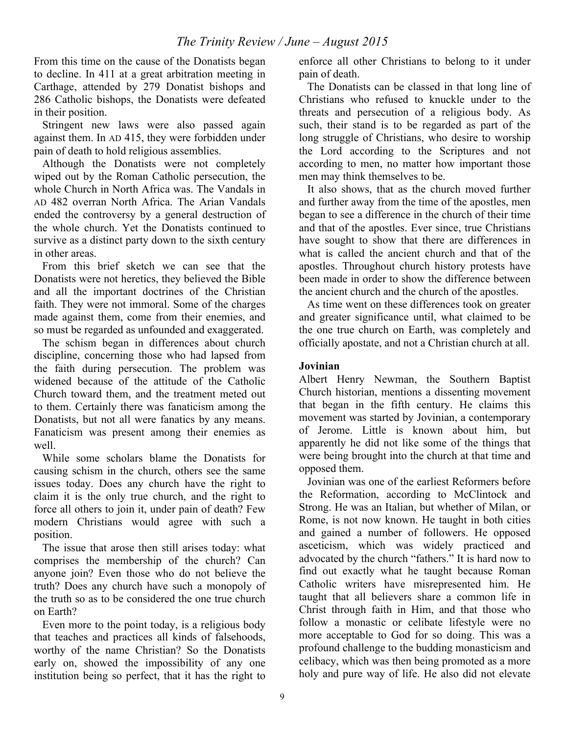From this time on the cause of the Donatists began to decline. In 411 at a great arbitration meeting in Carthage, attended by 279 Donatist bishops and 286 Catholic bishops, the Donatists were defeated in their position.

Stringent new laws were also passed again against them. In AD 415, they were forbidden under pain of death to hold religious assemblies.

Although the Donatists were not completely wiped out by the Roman Catholic persecution, the whole Church in North Africa was. The Vandals in AD 482 overran North Africa. The Arian Vandals ended the controversy by a general destruction of the whole church. Yet the Donatists continued to survive as a distinct party down to the sixth century in other areas.

From this brief sketch we can see that the Donatists were not heretics, they believed the Bible and all the important doctrines of the Christian faith. They were not immoral. Some of the charges made against them, come from their enemies, and so must be regarded as unfounded and exaggerated.

The schism began in differences about church discipline, concerning those who had lapsed from the faith during persecution. The problem was widened because of the attitude of the Catholic Church toward them, and the treatment meted out to them. Certainly there was fanaticism among the Donatists, but not all were fanatics by any means. Fanaticism was present among their enemies as well.

While some scholars blame the Donatists for causing schism in the church, others see the same issues today. Does any church have the right to claim it is the only true church, and the right to force all others to join it, under pain of death? Few modern Christians would agree with such a position.

The issue that arose then still arises today: what comprises the membership of the church? Can anyone join? Even those who do not believe the truth? Does any church have such a monopoly of the truth so as to be considered the one true church on Earth?

Even more to the point today, is a religious body that teaches and practices all kinds of falsehoods, worthy of the name Christian? So the Donatists early on, showed the impossibility of any one institution being so perfect, that it has the right to enforce all other Christians to belong to it under pain of death.

The Donatists can be classed in that long line of Christians who refused to knuckle under to the threats and persecution of a religious body. As such, their stand is to be regarded as part of the long struggle of Christians, who desire to worship the Lord according to the Scriptures and not according to men, no matter how important those men may think themselves to be.

It also shows, that as the church moved further and further away from the time of the apostles, men began to see a difference in the church of their time and that of the apostles. Ever since, true Christians have sought to show that there are differences in what is called the ancient church and that of the apostles. Throughout church history protests have been made in order to show the difference between the ancient church and the church of the apostles.

As time went on these differences took on greater and greater significance until, what claimed to be the one true church on Earth, was completely and officially apostate, and not a Christian church at all.

## **Jovinian**

Albert Henry Newman, the Southern Baptist Church historian, mentions a dissenting movement that began in the fifth century. He claims this movement was started by Jovinian, a contemporary of Jerome. Little is known about him, but apparently he did not like some of the things that were being brought into the church at that time and opposed them.

Jovinian was one of the earliest Reformers before the Reformation, according to McClintock and Strong. He was an Italian, but whether of Milan, or Rome, is not now known. He taught in both cities and gained a number of followers. He opposed asceticism, which was widely practiced and advocated by the church "fathers." It is hard now to find out exactly what he taught because Roman Catholic writers have misrepresented him. He taught that all believers share a common life in Christ through faith in Him, and that those who follow a monastic or celibate lifestyle were no more acceptable to God for so doing. This was a profound challenge to the budding monasticism and celibacy, which was then being promoted as a more holy and pure way of life. He also did not elevate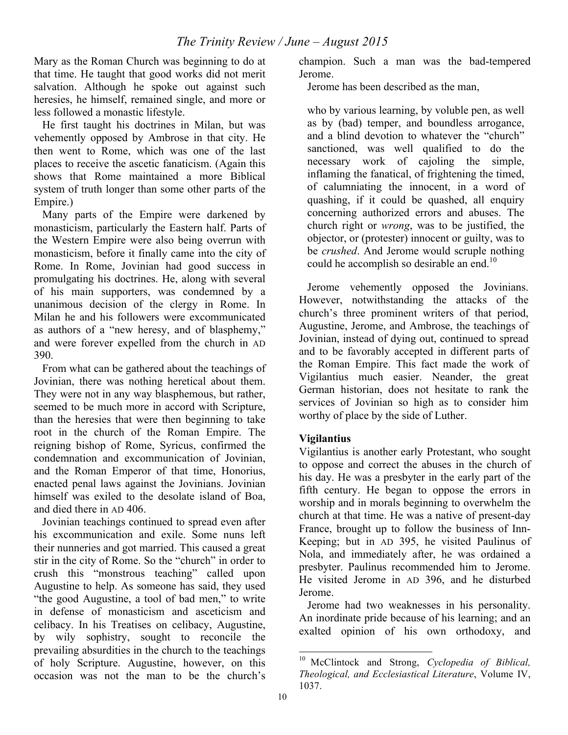Mary as the Roman Church was beginning to do at that time. He taught that good works did not merit salvation. Although he spoke out against such heresies, he himself, remained single, and more or less followed a monastic lifestyle.

He first taught his doctrines in Milan, but was vehemently opposed by Ambrose in that city. He then went to Rome, which was one of the last places to receive the ascetic fanaticism. (Again this shows that Rome maintained a more Biblical system of truth longer than some other parts of the Empire.)

Many parts of the Empire were darkened by monasticism, particularly the Eastern half. Parts of the Western Empire were also being overrun with monasticism, before it finally came into the city of Rome. In Rome, Jovinian had good success in promulgating his doctrines. He, along with several of his main supporters, was condemned by a unanimous decision of the clergy in Rome. In Milan he and his followers were excommunicated as authors of a "new heresy, and of blasphemy," and were forever expelled from the church in AD 390.

From what can be gathered about the teachings of Jovinian, there was nothing heretical about them. They were not in any way blasphemous, but rather, seemed to be much more in accord with Scripture, than the heresies that were then beginning to take root in the church of the Roman Empire. The reigning bishop of Rome, Syricus, confirmed the condemnation and excommunication of Jovinian, and the Roman Emperor of that time, Honorius, enacted penal laws against the Jovinians. Jovinian himself was exiled to the desolate island of Boa, and died there in AD 406.

Jovinian teachings continued to spread even after his excommunication and exile. Some nuns left their nunneries and got married. This caused a great stir in the city of Rome. So the "church" in order to crush this "monstrous teaching" called upon Augustine to help. As someone has said, they used "the good Augustine, a tool of bad men," to write in defense of monasticism and asceticism and celibacy. In his Treatises on celibacy, Augustine, by wily sophistry, sought to reconcile the prevailing absurdities in the church to the teachings of holy Scripture. Augustine, however, on this occasion was not the man to be the church's

champion. Such a man was the bad-tempered Jerome.

Jerome has been described as the man,

who by various learning, by voluble pen, as well as by (bad) temper, and boundless arrogance, and a blind devotion to whatever the "church" sanctioned, was well qualified to do the necessary work of cajoling the simple, inflaming the fanatical, of frightening the timed, of calumniating the innocent, in a word of quashing, if it could be quashed, all enquiry concerning authorized errors and abuses. The church right or *wrong*, was to be justified, the objector, or (protester) innocent or guilty, was to be *crushed*. And Jerome would scruple nothing could he accomplish so desirable an end.<sup>10</sup>

Jerome vehemently opposed the Jovinians. However, notwithstanding the attacks of the church's three prominent writers of that period, Augustine, Jerome, and Ambrose, the teachings of Jovinian, instead of dying out, continued to spread and to be favorably accepted in different parts of the Roman Empire. This fact made the work of Vigilantius much easier. Neander, the great German historian, does not hesitate to rank the services of Jovinian so high as to consider him worthy of place by the side of Luther.

# **Vigilantius**

Vigilantius is another early Protestant, who sought to oppose and correct the abuses in the church of his day. He was a presbyter in the early part of the fifth century. He began to oppose the errors in worship and in morals beginning to overwhelm the church at that time. He was a native of present-day France, brought up to follow the business of Inn-Keeping; but in AD 395, he visited Paulinus of Nola, and immediately after, he was ordained a presbyter. Paulinus recommended him to Jerome. He visited Jerome in AD 396, and he disturbed Jerome.

Jerome had two weaknesses in his personality. An inordinate pride because of his learning; and an exalted opinion of his own orthodoxy, and

 <sup>10</sup> McClintock and Strong, *Cyclopedia of Biblical, Theological, and Ecclesiastical Literature*, Volume IV, 1037.